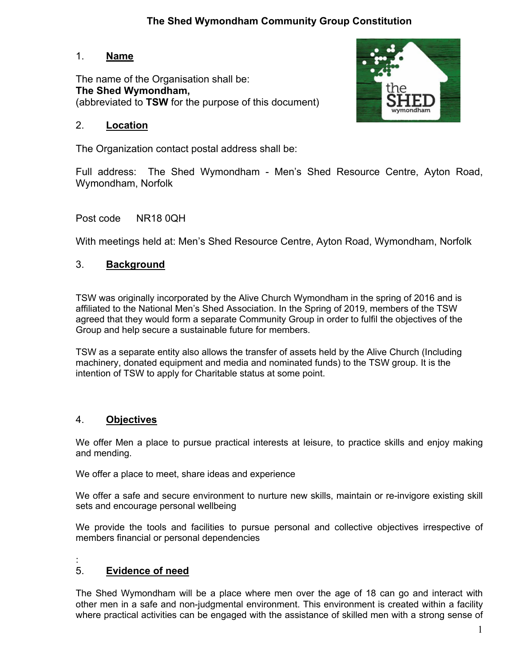# **The Shed Wymondham Community Group Constitution**

## 1. **Name**

The name of the Organisation shall be: **The Shed Wymondham,** (abbreviated to **TSW** for the purpose of this document)



# 2. **Location**

The Organization contact postal address shall be:

Full address: The Shed Wymondham - Men's Shed Resource Centre, Ayton Road, Wymondham, Norfolk

Post code NR18 0QH

With meetings held at: Men's Shed Resource Centre, Ayton Road, Wymondham, Norfolk

# 3. **Background**

TSW was originally incorporated by the Alive Church Wymondham in the spring of 2016 and is affiliated to the National Men's Shed Association. In the Spring of 2019, members of the TSW agreed that they would form a separate Community Group in order to fulfil the objectives of the Group and help secure a sustainable future for members.

TSW as a separate entity also allows the transfer of assets held by the Alive Church (Including machinery, donated equipment and media and nominated funds) to the TSW group. It is the intention of TSW to apply for Charitable status at some point.

# 4. **Objectives**

We offer Men a place to pursue practical interests at leisure, to practice skills and enjoy making and mending.

We offer a place to meet, share ideas and experience

We offer a safe and secure environment to nurture new skills, maintain or re-invigore existing skill sets and encourage personal wellbeing

We provide the tools and facilities to pursue personal and collective objectives irrespective of members financial or personal dependencies

:

# 5. **Evidence of need**

The Shed Wymondham will be a place where men over the age of 18 can go and interact with other men in a safe and non-judgmental environment. This environment is created within a facility where practical activities can be engaged with the assistance of skilled men with a strong sense of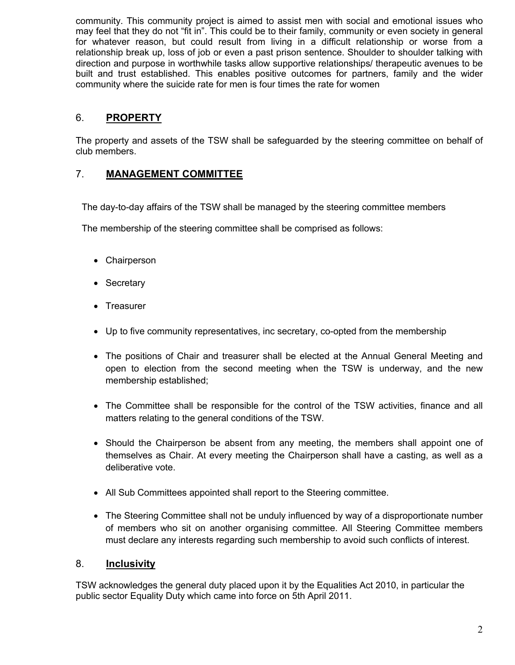community. This community project is aimed to assist men with social and emotional issues who may feel that they do not "fit in". This could be to their family, community or even society in general for whatever reason, but could result from living in a difficult relationship or worse from a relationship break up, loss of job or even a past prison sentence. Shoulder to shoulder talking with direction and purpose in worthwhile tasks allow supportive relationships/ therapeutic avenues to be built and trust established. This enables positive outcomes for partners, family and the wider community where the suicide rate for men is four times the rate for women

## 6. **PROPERTY**

The property and assets of the TSW shall be safeguarded by the steering committee on behalf of club members.

# 7. **MANAGEMENT COMMITTEE**

The day-to-day affairs of the TSW shall be managed by the steering committee members

The membership of the steering committee shall be comprised as follows:

- Chairperson
- Secretary
- Treasurer
- Up to five community representatives, inc secretary, co-opted from the membership
- The positions of Chair and treasurer shall be elected at the Annual General Meeting and open to election from the second meeting when the TSW is underway, and the new membership established;
- The Committee shall be responsible for the control of the TSW activities, finance and all matters relating to the general conditions of the TSW.
- Should the Chairperson be absent from any meeting, the members shall appoint one of themselves as Chair. At every meeting the Chairperson shall have a casting, as well as a deliberative vote.
- All Sub Committees appointed shall report to the Steering committee.
- The Steering Committee shall not be unduly influenced by way of a disproportionate number of members who sit on another organising committee. All Steering Committee members must declare any interests regarding such membership to avoid such conflicts of interest.

## 8. **Inclusivity**

TSW acknowledges the general duty placed upon it by the Equalities Act 2010, in particular the public sector Equality Duty which came into force on 5th April 2011.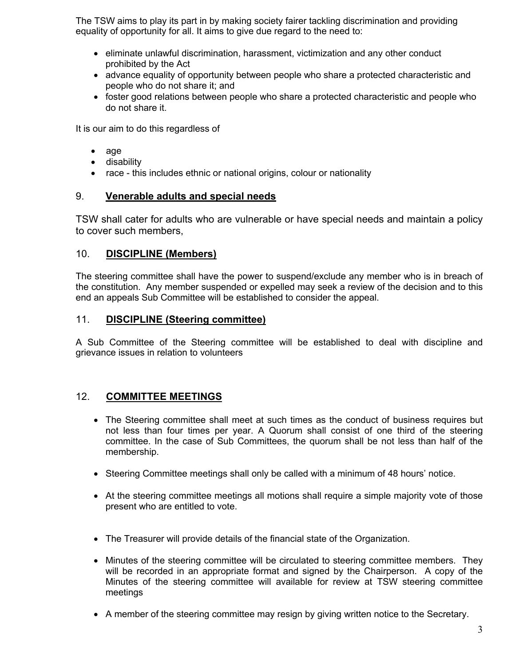The TSW aims to play its part in by making society fairer tackling discrimination and providing equality of opportunity for all. It aims to give due regard to the need to:

- eliminate unlawful discrimination, harassment, victimization and any other conduct prohibited by the Act
- advance equality of opportunity between people who share a protected characteristic and people who do not share it; and
- foster good relations between people who share a protected characteristic and people who do not share it.

It is our aim to do this regardless of

- age
- disability
- race this includes ethnic or national origins, colour or nationality

### 9. **Venerable adults and special needs**

TSW shall cater for adults who are vulnerable or have special needs and maintain a policy to cover such members,

### 10. **DISCIPLINE (Members)**

The steering committee shall have the power to suspend/exclude any member who is in breach of the constitution. Any member suspended or expelled may seek a review of the decision and to this end an appeals Sub Committee will be established to consider the appeal.

#### 11. **DISCIPLINE (Steering committee)**

A Sub Committee of the Steering committee will be established to deal with discipline and grievance issues in relation to volunteers

## 12. **COMMITTEE MEETINGS**

- The Steering committee shall meet at such times as the conduct of business requires but not less than four times per year. A Quorum shall consist of one third of the steering committee. In the case of Sub Committees, the quorum shall be not less than half of the membership.
- Steering Committee meetings shall only be called with a minimum of 48 hours' notice.
- At the steering committee meetings all motions shall require a simple majority vote of those present who are entitled to vote.
- The Treasurer will provide details of the financial state of the Organization.
- Minutes of the steering committee will be circulated to steering committee members. They will be recorded in an appropriate format and signed by the Chairperson. A copy of the Minutes of the steering committee will available for review at TSW steering committee meetings
- A member of the steering committee may resign by giving written notice to the Secretary.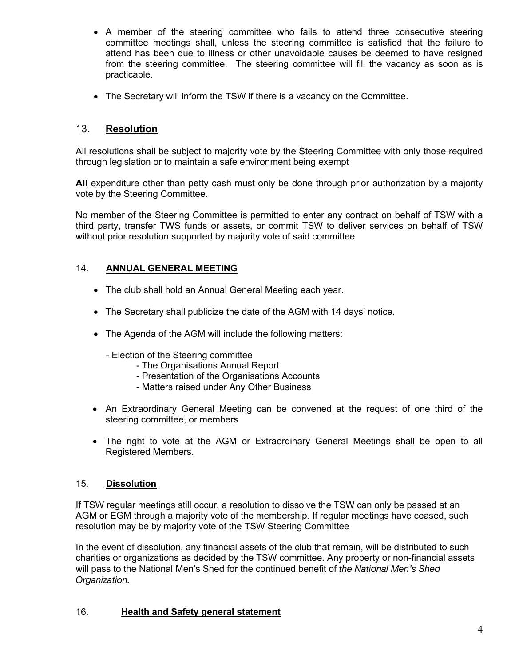- A member of the steering committee who fails to attend three consecutive steering committee meetings shall, unless the steering committee is satisfied that the failure to attend has been due to illness or other unavoidable causes be deemed to have resigned from the steering committee. The steering committee will fill the vacancy as soon as is practicable.
- The Secretary will inform the TSW if there is a vacancy on the Committee.

## 13. **Resolution**

All resolutions shall be subject to majority vote by the Steering Committee with only those required through legislation or to maintain a safe environment being exempt

**All** expenditure other than petty cash must only be done through prior authorization by a majority vote by the Steering Committee.

No member of the Steering Committee is permitted to enter any contract on behalf of TSW with a third party, transfer TWS funds or assets, or commit TSW to deliver services on behalf of TSW without prior resolution supported by majority vote of said committee

#### 14. **ANNUAL GENERAL MEETING**

- The club shall hold an Annual General Meeting each year.
- The Secretary shall publicize the date of the AGM with 14 days' notice.
- The Agenda of the AGM will include the following matters:
	- Election of the Steering committee
		- The Organisations Annual Report
		- Presentation of the Organisations Accounts
		- Matters raised under Any Other Business
- An Extraordinary General Meeting can be convened at the request of one third of the steering committee, or members
- The right to vote at the AGM or Extraordinary General Meetings shall be open to all Registered Members.

#### 15. **Dissolution**

If TSW regular meetings still occur, a resolution to dissolve the TSW can only be passed at an AGM or EGM through a majority vote of the membership. If regular meetings have ceased, such resolution may be by majority vote of the TSW Steering Committee

In the event of dissolution, any financial assets of the club that remain, will be distributed to such charities or organizations as decided by the TSW committee. Any property or non-financial assets will pass to the National Men's Shed for the continued benefit of *the National Men's Shed Organization.*

#### 16. **Health and Safety general statement**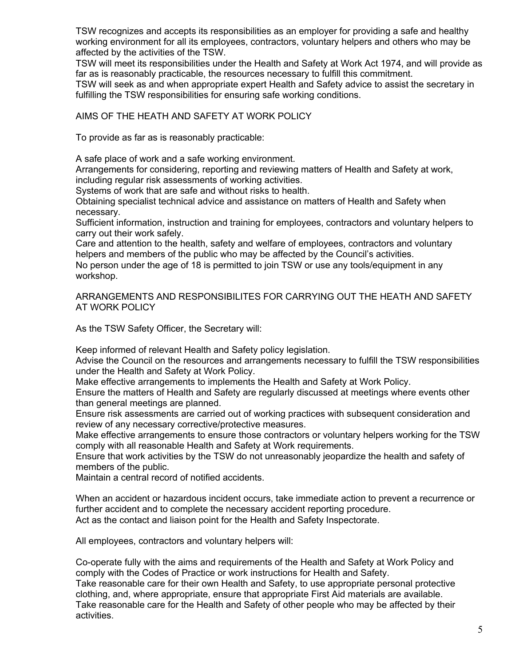TSW recognizes and accepts its responsibilities as an employer for providing a safe and healthy working environment for all its employees, contractors, voluntary helpers and others who may be affected by the activities of the TSW.

TSW will meet its responsibilities under the Health and Safety at Work Act 1974, and will provide as far as is reasonably practicable, the resources necessary to fulfill this commitment.

TSW will seek as and when appropriate expert Health and Safety advice to assist the secretary in fulfilling the TSW responsibilities for ensuring safe working conditions.

#### AIMS OF THE HEATH AND SAFETY AT WORK POLICY

To provide as far as is reasonably practicable:

A safe place of work and a safe working environment.

Arrangements for considering, reporting and reviewing matters of Health and Safety at work, including regular risk assessments of working activities.

Systems of work that are safe and without risks to health.

Obtaining specialist technical advice and assistance on matters of Health and Safety when necessary.

Sufficient information, instruction and training for employees, contractors and voluntary helpers to carry out their work safely.

Care and attention to the health, safety and welfare of employees, contractors and voluntary helpers and members of the public who may be affected by the Council's activities.

No person under the age of 18 is permitted to join TSW or use any tools/equipment in any workshop.

ARRANGEMENTS AND RESPONSIBILITES FOR CARRYING OUT THE HEATH AND SAFETY AT WORK POLICY

As the TSW Safety Officer, the Secretary will:

Keep informed of relevant Health and Safety policy legislation.

Advise the Council on the resources and arrangements necessary to fulfill the TSW responsibilities under the Health and Safety at Work Policy.

Make effective arrangements to implements the Health and Safety at Work Policy.

Ensure the matters of Health and Safety are regularly discussed at meetings where events other than general meetings are planned.

Ensure risk assessments are carried out of working practices with subsequent consideration and review of any necessary corrective/protective measures.

Make effective arrangements to ensure those contractors or voluntary helpers working for the TSW comply with all reasonable Health and Safety at Work requirements.

Ensure that work activities by the TSW do not unreasonably jeopardize the health and safety of members of the public.

Maintain a central record of notified accidents.

When an accident or hazardous incident occurs, take immediate action to prevent a recurrence or further accident and to complete the necessary accident reporting procedure. Act as the contact and liaison point for the Health and Safety Inspectorate.

All employees, contractors and voluntary helpers will:

Co-operate fully with the aims and requirements of the Health and Safety at Work Policy and comply with the Codes of Practice or work instructions for Health and Safety.

Take reasonable care for their own Health and Safety, to use appropriate personal protective clothing, and, where appropriate, ensure that appropriate First Aid materials are available. Take reasonable care for the Health and Safety of other people who may be affected by their activities.